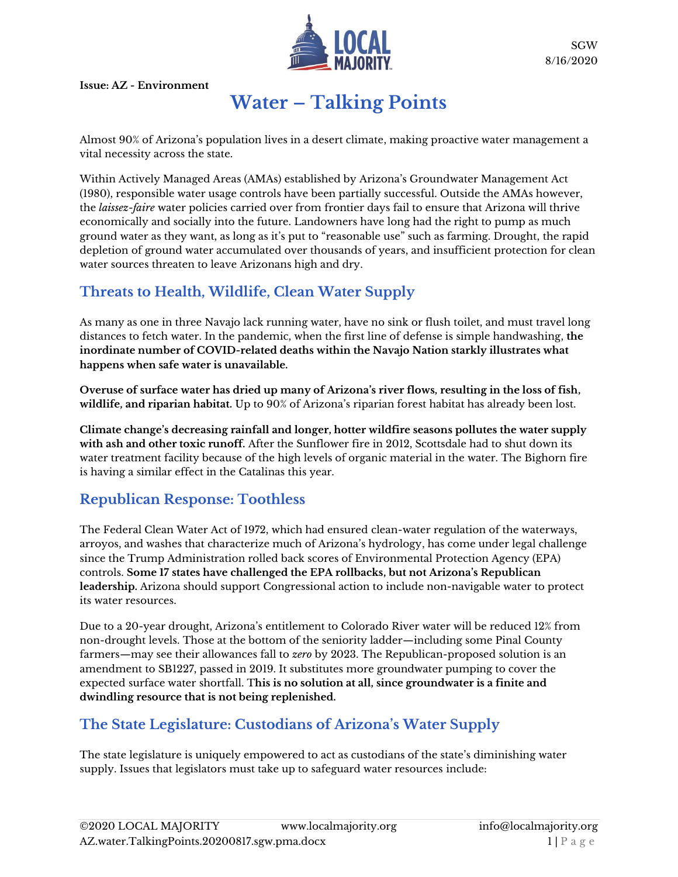

SGW 8/16/2020

**Issue: AZ - Environment**

## **Water – Talking Points**

Almost 90% of Arizona's population lives in a desert climate, making proactive water management a vital necessity across the state.

Within Actively Managed Areas (AMAs) established by Arizona's Groundwater Management Act (1980), responsible water usage controls have been partially successful. Outside the AMAs however, the *laissez-faire* water policies carried over from frontier days fail to ensure that Arizona will thrive economically and socially into the future. Landowners have long had the right to pump as much ground water as they want, as long as it's put to "reasonable use" such as farming. Drought, the rapid depletion of ground water accumulated over thousands of years, and insufficient protection for clean water sources threaten to leave Arizonans high and dry.

## **Threats to Health, Wildlife, Clean Water Supply**

As many as one in three Navajo lack running water, have no sink or flush toilet, and must travel long distances to fetch water. In the pandemic, when the first line of defense is simple handwashing, **the inordinate number of COVID-related deaths within the Navajo Nation starkly illustrates what happens when safe water is unavailable.**

**Overuse of surface water has dried up many of Arizona's river flows, resulting in the loss of fish, wildlife, and riparian habitat.** Up to 90% of Arizona's riparian forest habitat has already been lost.

**Climate change's decreasing rainfall and longer, hotter wildfire seasons pollutes the water supply with ash and other toxic runoff.** After the Sunflower fire in 2012, Scottsdale had to shut down its water treatment facility because of the high levels of organic material in the water. The Bighorn fire is having a similar effect in the Catalinas this year.

## **Republican Response: Toothless**

The Federal Clean Water Act of 1972, which had ensured clean-water regulation of the waterways, arroyos, and washes that characterize much of Arizona's hydrology, has come under legal challenge since the Trump Administration rolled back scores of Environmental Protection Agency (EPA) controls. **Some 17 states have challenged the EPA rollbacks, but not Arizona's Republican leadership.** Arizona should support Congressional action to include non-navigable water to protect its water resources.

Due to a 20-year drought, Arizona's entitlement to Colorado River water will be reduced 12% from non-drought levels. Those at the bottom of the seniority ladder—including some Pinal County farmers—may see their allowances fall to *zero* by 2023. The Republican-proposed solution is an amendment to SB1227, passed in 2019. It substitutes more groundwater pumping to cover the expected surface water shortfall. T**his is no solution at all, since groundwater is a finite and dwindling resource that is not being replenished.**

## **The State Legislature: Custodians of Arizona's Water Supply**

The state legislature is uniquely empowered to act as custodians of the state's diminishing water supply. Issues that legislators must take up to safeguard water resources include: